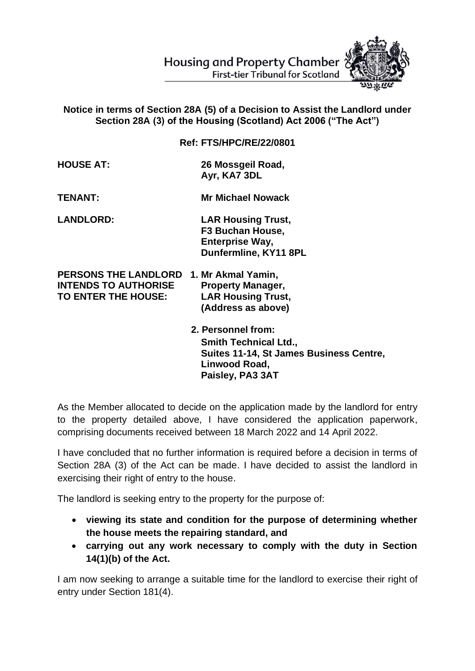

## **First-tier Tribunal for Scotland**

## **Notice in terms of Section 28A (5) of a Decision to Assist the Landlord under Section 28A (3) of the Housing (Scotland) Act 2006 ("The Act")**

**Ref: FTS/HPC/RE/22/0801**

**Dunfermline, KY11 8PL** 

| <b>HOUSE AT:</b> | 26 Mossgeil Road, |
|------------------|-------------------|
|                  | Ayr, KA7 3DL      |

**TENANT: Mr Michael Nowack**

**LANDLORD: LAR Housing Trust, F3 Buchan House, Enterprise Way,** 

**PERSONS THE LANDLORD 1. Mr Akmal Yamin, INTENDS TO AUTHORISE Property Manager, TO ENTER THE HOUSE: LAR Housing Trust, (Address as above)** 

> **2. Personnel from: Smith Technical Ltd., Suites 11-14, St James Business Centre, Linwood Road, Paisley, PA3 3AT**

As the Member allocated to decide on the application made by the landlord for entry to the property detailed above, I have considered the application paperwork, comprising documents received between 18 March 2022 and 14 April 2022.

I have concluded that no further information is required before a decision in terms of Section 28A (3) of the Act can be made. I have decided to assist the landlord in exercising their right of entry to the house.

The landlord is seeking entry to the property for the purpose of:

- **viewing its state and condition for the purpose of determining whether the house meets the repairing standard, and**
- **carrying out any work necessary to comply with the duty in Section 14(1)(b) of the Act.**

I am now seeking to arrange a suitable time for the landlord to exercise their right of entry under Section 181(4).